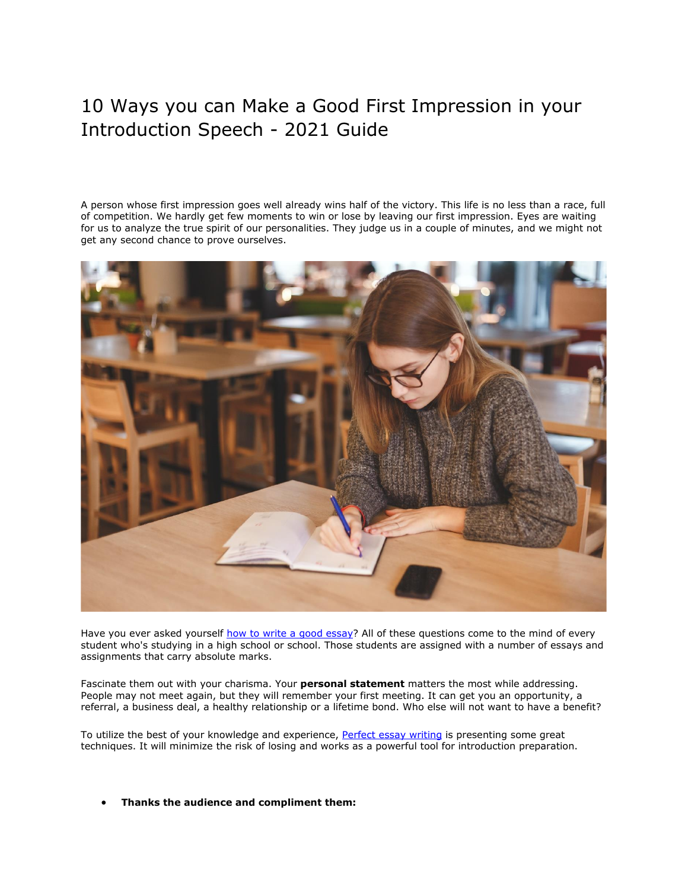# 10 Ways you can Make a Good First Impression in your Introduction Speech - 2021 Guide

A person whose first impression goes well already wins half of the victory. This life is no less than a race, full of competition. We hardly get few moments to win or lose by leaving our first impression. Eyes are waiting for us to analyze the true spirit of our personalities. They judge us in a couple of minutes, and we might not get any second chance to prove ourselves.



Have you ever asked yourself [how to write a good essay?](https://perfectessaywriting.com/) All of these questions come to the mind of every student who's studying in a high school or school. Those students are assigned with a number of essays and assignments that carry absolute marks.

Fascinate them out with your charisma. Your **personal statement** matters the most while addressing. People may not meet again, but they will remember your first meeting. It can get you an opportunity, a referral, a business deal, a healthy relationship or a lifetime bond. Who else will not want to have a benefit?

To utilize the best of your knowledge and experience, [Perfect essay writing](https://perfectessaywriting.com/) is presenting some great techniques. It will minimize the risk of losing and works as a powerful tool for introduction preparation.

• **Thanks the audience and compliment them:**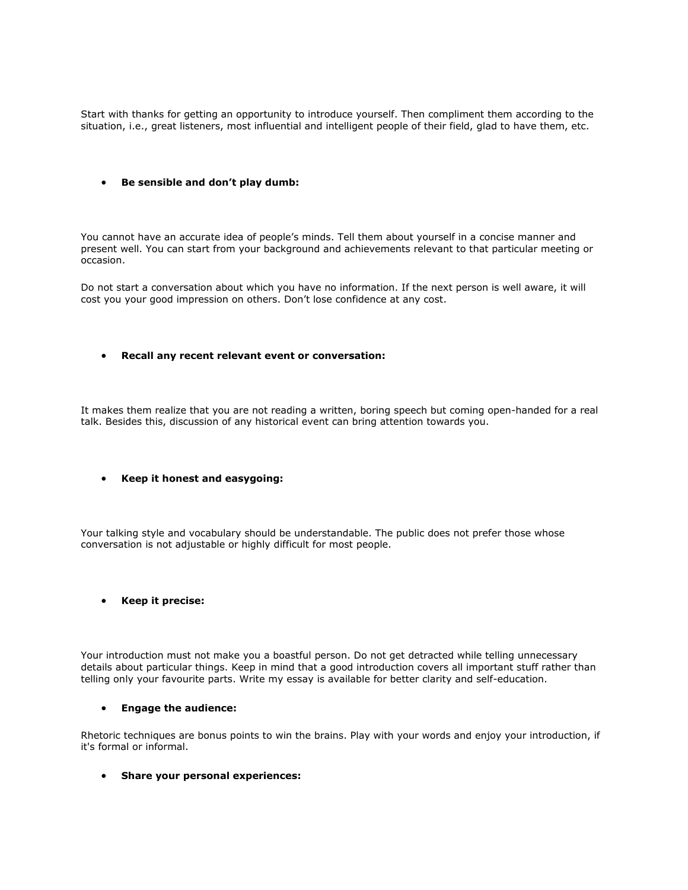Start with thanks for getting an opportunity to introduce yourself. Then compliment them according to the situation, i.e., great listeners, most influential and intelligent people of their field, glad to have them, etc.

## • **Be sensible and don't play dumb:**

You cannot have an accurate idea of people's minds. Tell them about yourself in a concise manner and present well. You can start from your background and achievements relevant to that particular meeting or occasion.

Do not start a conversation about which you have no information. If the next person is well aware, it will cost you your good impression on others. Don't lose confidence at any cost.

#### • **Recall any recent relevant event or conversation:**

It makes them realize that you are not reading a written, boring speech but coming open-handed for a real talk. Besides this, discussion of any historical event can bring attention towards you.

## • **Keep it honest and easygoing:**

Your talking style and vocabulary should be understandable. The public does not prefer those whose conversation is not adjustable or highly difficult for most people.

## • **Keep it precise:**

Your introduction must not make you a boastful person. Do not get detracted while telling unnecessary details about particular things. Keep in mind that a good introduction covers all important stuff rather than telling only your favourite parts. Write my essay is available for better clarity and self-education.

#### • **Engage the audience:**

Rhetoric techniques are bonus points to win the brains. Play with your words and enjoy your introduction, if it's formal or informal.

#### • **Share your personal experiences:**